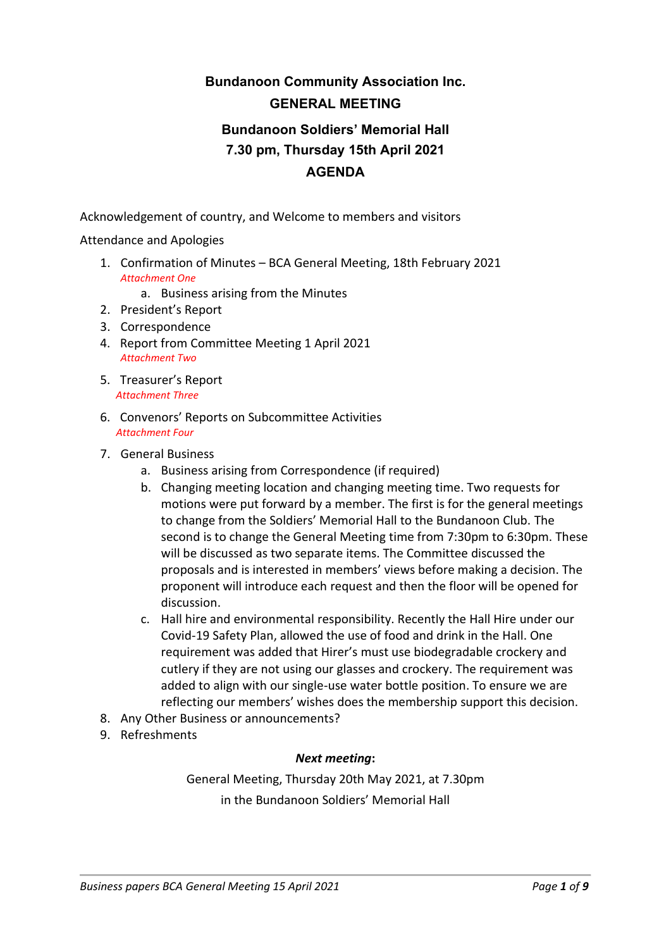# **Bundanoon Community Association Inc. GENERAL MEETING Bundanoon Soldiers' Memorial Hall 7.30 pm, Thursday 15th April 2021**

### **AGENDA**

Acknowledgement of country, and Welcome to members and visitors

Attendance and Apologies

1. Confirmation of Minutes – BCA General Meeting, 18th February 2021 *Attachment One*

a. Business arising from the Minutes

- 2. President's Report
- 3. Correspondence
- 4. Report from Committee Meeting 1 April 2021 *Attachment Two*
- 5. Treasurer's Report *Attachment Three*
- 6. Convenors' Reports on Subcommittee Activities *Attachment Four*
- 7. General Business
	- a. Business arising from Correspondence (if required)
	- b. Changing meeting location and changing meeting time. Two requests for motions were put forward by a member. The first is for the general meetings to change from the Soldiers' Memorial Hall to the Bundanoon Club. The second is to change the General Meeting time from 7:30pm to 6:30pm. These will be discussed as two separate items. The Committee discussed the proposals and is interested in members' views before making a decision. The proponent will introduce each request and then the floor will be opened for discussion.
	- c. Hall hire and environmental responsibility. Recently the Hall Hire under our Covid-19 Safety Plan, allowed the use of food and drink in the Hall. One requirement was added that Hirer's must use biodegradable crockery and cutlery if they are not using our glasses and crockery. The requirement was added to align with our single-use water bottle position. To ensure we are reflecting our members' wishes does the membership support this decision.
- 8. Any Other Business or announcements?
- 9. Refreshments

### *Next meeting***:**

General Meeting, Thursday 20th May 2021, at 7.30pm in the Bundanoon Soldiers' Memorial Hall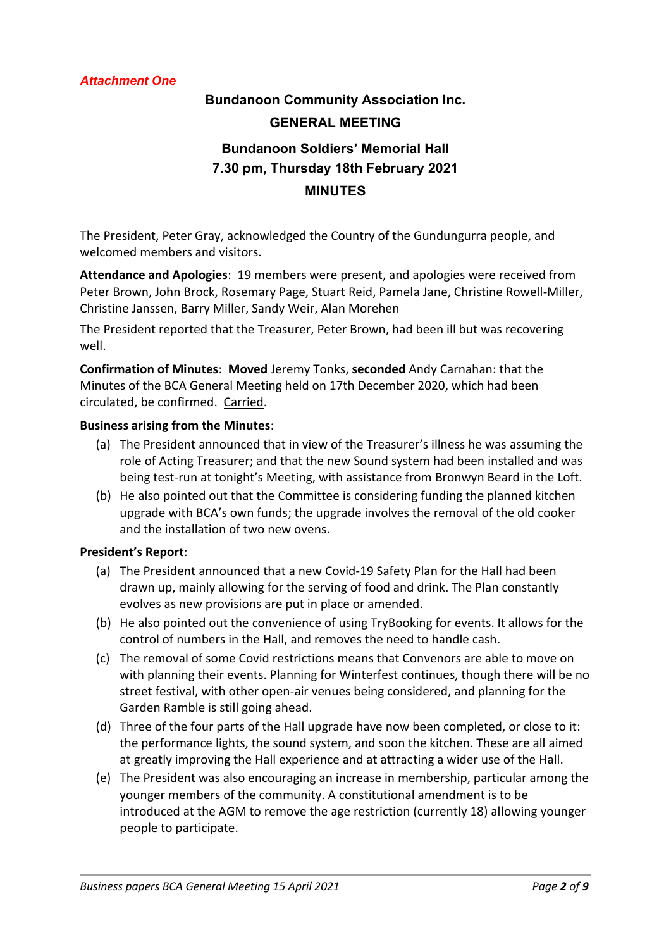### *Attachment One*

## **Bundanoon Community Association Inc. GENERAL MEETING Bundanoon Soldiers' Memorial Hall 7.30 pm, Thursday 18th February 2021 MINUTES**

The President, Peter Gray, acknowledged the Country of the Gundungurra people, and welcomed members and visitors.

**Attendance and Apologies**: 19 members were present, and apologies were received from Peter Brown, John Brock, Rosemary Page, Stuart Reid, Pamela Jane, Christine Rowell-Miller, Christine Janssen, Barry Miller, Sandy Weir, Alan Morehen

The President reported that the Treasurer, Peter Brown, had been ill but was recovering well.

**Confirmation of Minutes**: **Moved** Jeremy Tonks, **seconded** Andy Carnahan: that the Minutes of the BCA General Meeting held on 17th December 2020, which had been circulated, be confirmed. Carried.

### **Business arising from the Minutes**:

- (a) The President announced that in view of the Treasurer's illness he was assuming the role of Acting Treasurer; and that the new Sound system had been installed and was being test-run at tonight's Meeting, with assistance from Bronwyn Beard in the Loft.
- (b) He also pointed out that the Committee is considering funding the planned kitchen upgrade with BCA's own funds; the upgrade involves the removal of the old cooker and the installation of two new ovens.

### **President's Report**:

- (a) The President announced that a new Covid-19 Safety Plan for the Hall had been drawn up, mainly allowing for the serving of food and drink. The Plan constantly evolves as new provisions are put in place or amended.
- (b) He also pointed out the convenience of using TryBooking for events. It allows for the control of numbers in the Hall, and removes the need to handle cash.
- (c) The removal of some Covid restrictions means that Convenors are able to move on with planning their events. Planning for Winterfest continues, though there will be no street festival, with other open-air venues being considered, and planning for the Garden Ramble is still going ahead.
- (d) Three of the four parts of the Hall upgrade have now been completed, or close to it: the performance lights, the sound system, and soon the kitchen. These are all aimed at greatly improving the Hall experience and at attracting a wider use of the Hall.
- (e) The President was also encouraging an increase in membership, particular among the younger members of the community. A constitutional amendment is to be introduced at the AGM to remove the age restriction (currently 18) allowing younger people to participate.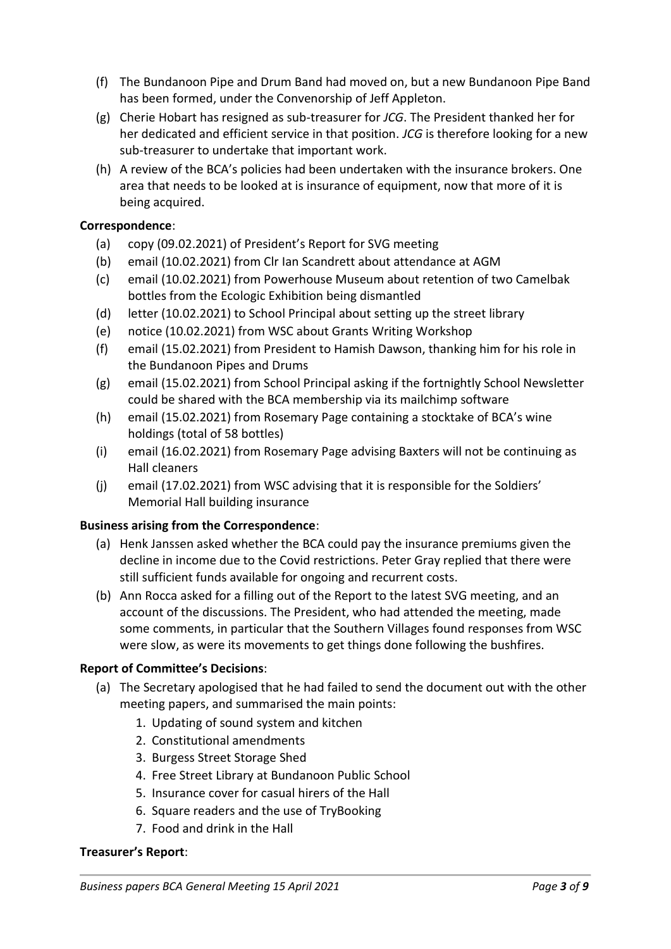- (f) The Bundanoon Pipe and Drum Band had moved on, but a new Bundanoon Pipe Band has been formed, under the Convenorship of Jeff Appleton.
- (g) Cherie Hobart has resigned as sub-treasurer for *JCG*. The President thanked her for her dedicated and efficient service in that position. *JCG* is therefore looking for a new sub-treasurer to undertake that important work.
- (h) A review of the BCA's policies had been undertaken with the insurance brokers. One area that needs to be looked at is insurance of equipment, now that more of it is being acquired.

### **Correspondence**:

- (a) copy (09.02.2021) of President's Report for SVG meeting
- (b) email (10.02.2021) from Clr Ian Scandrett about attendance at AGM
- (c) email (10.02.2021) from Powerhouse Museum about retention of two Camelbak bottles from the Ecologic Exhibition being dismantled
- (d) letter (10.02.2021) to School Principal about setting up the street library
- (e) notice (10.02.2021) from WSC about Grants Writing Workshop
- (f) email (15.02.2021) from President to Hamish Dawson, thanking him for his role in the Bundanoon Pipes and Drums
- (g) email (15.02.2021) from School Principal asking if the fortnightly School Newsletter could be shared with the BCA membership via its mailchimp software
- (h) email (15.02.2021) from Rosemary Page containing a stocktake of BCA's wine holdings (total of 58 bottles)
- (i) email (16.02.2021) from Rosemary Page advising Baxters will not be continuing as Hall cleaners
- (j) email (17.02.2021) from WSC advising that it is responsible for the Soldiers' Memorial Hall building insurance

### **Business arising from the Correspondence**:

- (a) Henk Janssen asked whether the BCA could pay the insurance premiums given the decline in income due to the Covid restrictions. Peter Gray replied that there were still sufficient funds available for ongoing and recurrent costs.
- (b) Ann Rocca asked for a filling out of the Report to the latest SVG meeting, and an account of the discussions. The President, who had attended the meeting, made some comments, in particular that the Southern Villages found responses from WSC were slow, as were its movements to get things done following the bushfires.

### **Report of Committee's Decisions**:

- (a) The Secretary apologised that he had failed to send the document out with the other meeting papers, and summarised the main points:
	- 1. Updating of sound system and kitchen
	- 2. Constitutional amendments
	- 3. Burgess Street Storage Shed
	- 4. Free Street Library at Bundanoon Public School
	- 5. Insurance cover for casual hirers of the Hall
	- 6. Square readers and the use of TryBooking
	- 7. Food and drink in the Hall

### **Treasurer's Report**: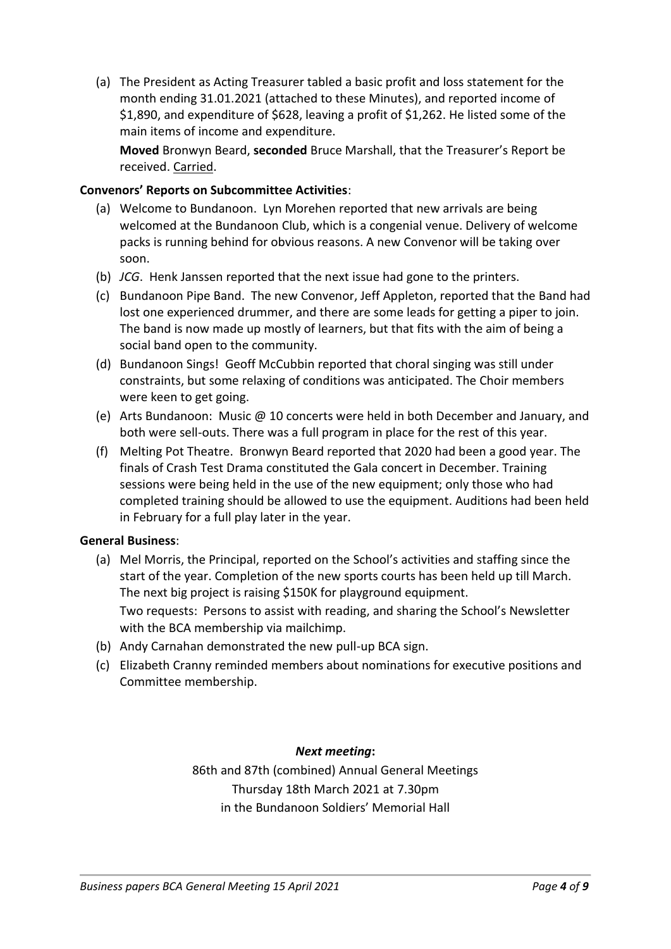(a) The President as Acting Treasurer tabled a basic profit and loss statement for the month ending 31.01.2021 (attached to these Minutes), and reported income of \$1,890, and expenditure of \$628, leaving a profit of \$1,262. He listed some of the main items of income and expenditure.

**Moved** Bronwyn Beard, **seconded** Bruce Marshall, that the Treasurer's Report be received. Carried.

### **Convenors' Reports on Subcommittee Activities**:

- (a) Welcome to Bundanoon. Lyn Morehen reported that new arrivals are being welcomed at the Bundanoon Club, which is a congenial venue. Delivery of welcome packs is running behind for obvious reasons. A new Convenor will be taking over soon.
- (b) *JCG*. Henk Janssen reported that the next issue had gone to the printers.
- (c) Bundanoon Pipe Band. The new Convenor, Jeff Appleton, reported that the Band had lost one experienced drummer, and there are some leads for getting a piper to join. The band is now made up mostly of learners, but that fits with the aim of being a social band open to the community.
- (d) Bundanoon Sings! Geoff McCubbin reported that choral singing was still under constraints, but some relaxing of conditions was anticipated. The Choir members were keen to get going.
- (e) Arts Bundanoon: Music @ 10 concerts were held in both December and January, and both were sell-outs. There was a full program in place for the rest of this year.
- (f) Melting Pot Theatre. Bronwyn Beard reported that 2020 had been a good year. The finals of Crash Test Drama constituted the Gala concert in December. Training sessions were being held in the use of the new equipment; only those who had completed training should be allowed to use the equipment. Auditions had been held in February for a full play later in the year.

### **General Business**:

- (a) Mel Morris, the Principal, reported on the School's activities and staffing since the start of the year. Completion of the new sports courts has been held up till March. The next big project is raising \$150K for playground equipment. Two requests: Persons to assist with reading, and sharing the School's Newsletter with the BCA membership via mailchimp.
- (b) Andy Carnahan demonstrated the new pull-up BCA sign.
- (c) Elizabeth Cranny reminded members about nominations for executive positions and Committee membership.

### *Next meeting***:**

86th and 87th (combined) Annual General Meetings Thursday 18th March 2021 at 7.30pm in the Bundanoon Soldiers' Memorial Hall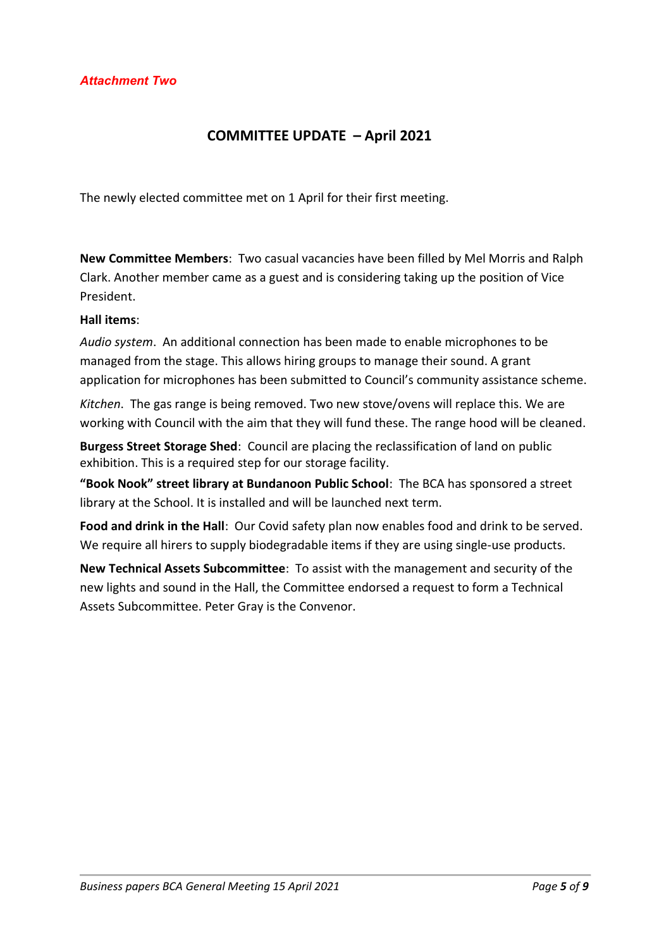### **COMMITTEE UPDATE – April 2021**

The newly elected committee met on 1 April for their first meeting.

**New Committee Members**: Two casual vacancies have been filled by Mel Morris and Ralph Clark. Another member came as a guest and is considering taking up the position of Vice President.

### **Hall items**:

*Audio system*. An additional connection has been made to enable microphones to be managed from the stage. This allows hiring groups to manage their sound. A grant application for microphones has been submitted to Council's community assistance scheme.

*Kitchen*. The gas range is being removed. Two new stove/ovens will replace this. We are working with Council with the aim that they will fund these. The range hood will be cleaned.

**Burgess Street Storage Shed**: Council are placing the reclassification of land on public exhibition. This is a required step for our storage facility.

**"Book Nook" street library at Bundanoon Public School**: The BCA has sponsored a street library at the School. It is installed and will be launched next term.

**Food and drink in the Hall**: Our Covid safety plan now enables food and drink to be served. We require all hirers to supply biodegradable items if they are using single-use products.

**New Technical Assets Subcommittee**: To assist with the management and security of the new lights and sound in the Hall, the Committee endorsed a request to form a Technical Assets Subcommittee. Peter Gray is the Convenor.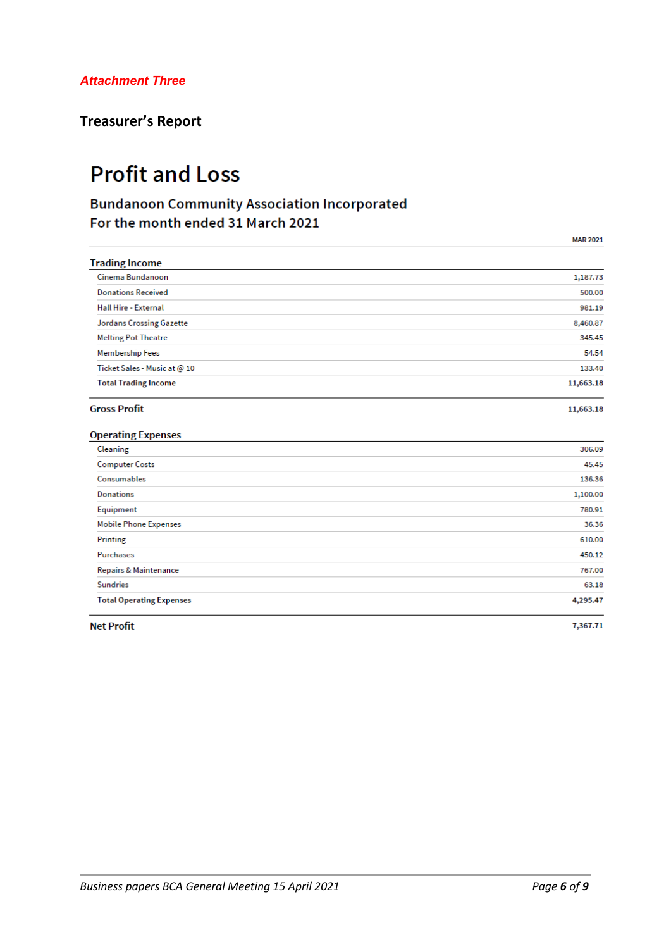### **Treasurer's Report**

# **Profit and Loss**

### **Bundanoon Community Association Incorporated** For the month ended 31 March 2021

|                                 | <b>MAR 2021</b> |
|---------------------------------|-----------------|
| <b>Trading Income</b>           |                 |
| Cinema Bundanoon                | 1,187.73        |
| <b>Donations Received</b>       | 500.00          |
| <b>Hall Hire - External</b>     | 981.19          |
| <b>Jordans Crossing Gazette</b> | 8,460.87        |
| <b>Melting Pot Theatre</b>      | 345.45          |
| <b>Membership Fees</b>          | 54.54           |
| Ticket Sales - Music at @ 10    | 133.40          |
| <b>Total Trading Income</b>     | 11,663.18       |
| <b>Gross Profit</b>             | 11,663.18       |
| <b>Operating Expenses</b>       |                 |
| Cleaning                        | 306.09          |
| <b>Computer Costs</b>           | 45.45           |
| Consumables                     | 136.36          |
| <b>Donations</b>                | 1,100.00        |
| Equipment                       | 780.91          |
| <b>Mobile Phone Expenses</b>    | 36.36           |
| Printing                        | 610.00          |
| Purchases                       | 450.12          |
| Repairs & Maintenance           | 767.00          |
| <b>Sundries</b>                 | 63.18           |
| <b>Total Operating Expenses</b> | 4,295.47        |
| <b>Net Profit</b>               | 7,367.71        |

**Net Profit**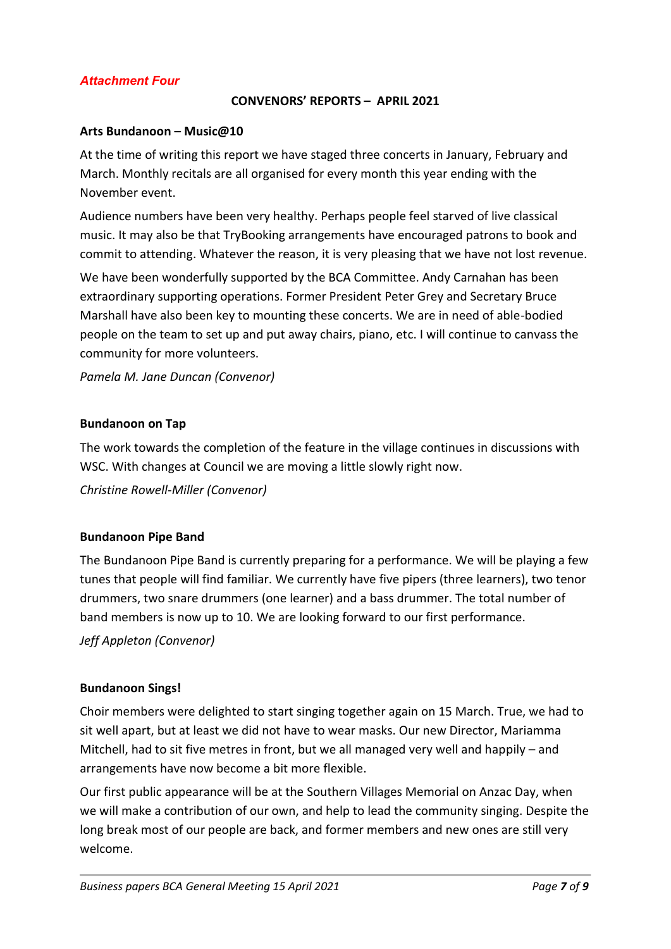### *Attachment Four*

### **CONVENORS' REPORTS – APRIL 2021**

### **Arts Bundanoon – Music@10**

At the time of writing this report we have staged three concerts in January, February and March. Monthly recitals are all organised for every month this year ending with the November event.

Audience numbers have been very healthy. Perhaps people feel starved of live classical music. It may also be that TryBooking arrangements have encouraged patrons to book and commit to attending. Whatever the reason, it is very pleasing that we have not lost revenue.

We have been wonderfully supported by the BCA Committee. Andy Carnahan has been extraordinary supporting operations. Former President Peter Grey and Secretary Bruce Marshall have also been key to mounting these concerts. We are in need of able-bodied people on the team to set up and put away chairs, piano, etc. I will continue to canvass the community for more volunteers.

*Pamela M. Jane Duncan (Convenor)*

### **Bundanoon on Tap**

The work towards the completion of the feature in the village continues in discussions with WSC. With changes at Council we are moving a little slowly right now.

*Christine Rowell-Miller (Convenor)*

### **Bundanoon Pipe Band**

The Bundanoon Pipe Band is currently preparing for a performance. We will be playing a few tunes that people will find familiar. We currently have five pipers (three learners), two tenor drummers, two snare drummers (one learner) and a bass drummer. The total number of band members is now up to 10. We are looking forward to our first performance.

*Jeff Appleton (Convenor)*

### **Bundanoon Sings!**

Choir members were delighted to start singing together again on 15 March. True, we had to sit well apart, but at least we did not have to wear masks. Our new Director, Mariamma Mitchell, had to sit five metres in front, but we all managed very well and happily – and arrangements have now become a bit more flexible.

Our first public appearance will be at the Southern Villages Memorial on Anzac Day, when we will make a contribution of our own, and help to lead the community singing. Despite the long break most of our people are back, and former members and new ones are still very welcome.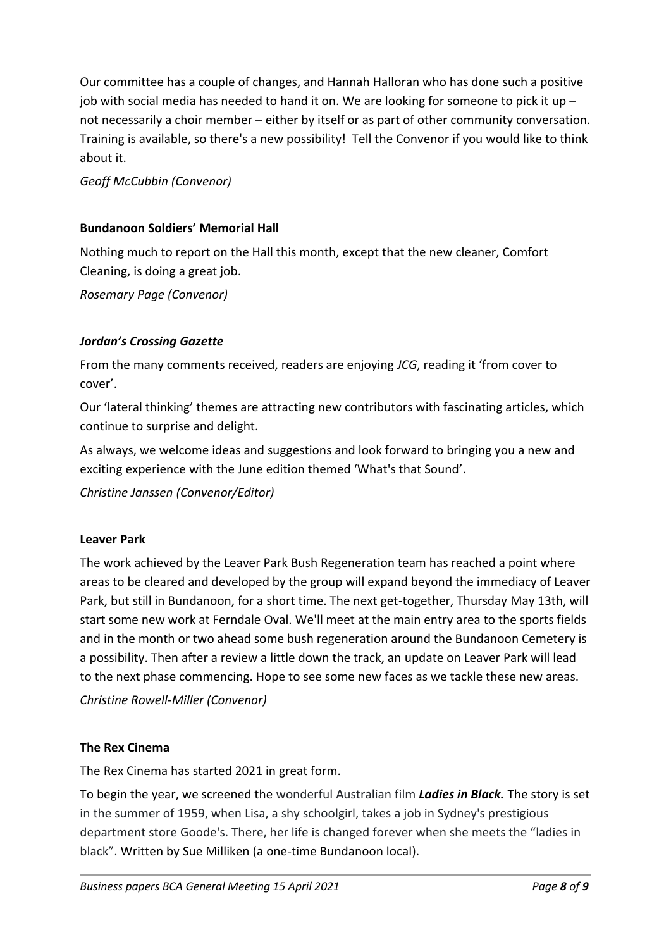Our committee has a couple of changes, and Hannah Halloran who has done such a positive job with social media has needed to hand it on. We are looking for someone to pick it up  $$ not necessarily a choir member – either by itself or as part of other community conversation. Training is available, so there's a new possibility! Tell the Convenor if you would like to think about it.

*Geoff McCubbin (Convenor)*

### **Bundanoon Soldiers' Memorial Hall**

Nothing much to report on the Hall this month, except that the new cleaner, Comfort Cleaning, is doing a great job.

*Rosemary Page (Convenor)*

### *Jordan's Crossing Gazette*

From the many comments received, readers are enjoying *JCG*, reading it 'from cover to cover'.

Our 'lateral thinking' themes are attracting new contributors with fascinating articles, which continue to surprise and delight.

As always, we welcome ideas and suggestions and look forward to bringing you a new and exciting experience with the June edition themed 'What's that Sound'.

*Christine Janssen (Convenor/Editor)*

### **Leaver Park**

The work achieved by the Leaver Park Bush Regeneration team has reached a point where areas to be cleared and developed by the group will expand beyond the immediacy of Leaver Park, but still in Bundanoon, for a short time. The next get-together, Thursday May 13th, will start some new work at Ferndale Oval. We'll meet at the main entry area to the sports fields and in the month or two ahead some bush regeneration around the Bundanoon Cemetery is a possibility. Then after a review a little down the track, an update on Leaver Park will lead to the next phase commencing. Hope to see some new faces as we tackle these new areas.

*Christine Rowell-Miller (Convenor)*

### **The Rex Cinema**

The Rex Cinema has started 2021 in great form.

To begin the year, we screened the wonderful Australian film *Ladies in Black.* The story is set in the summer of 1959, when Lisa, a shy schoolgirl, takes a job in Sydney's prestigious department store Goode's. There, her life is changed forever when she meets the "ladies in black". Written by Sue Milliken (a one-time Bundanoon local).